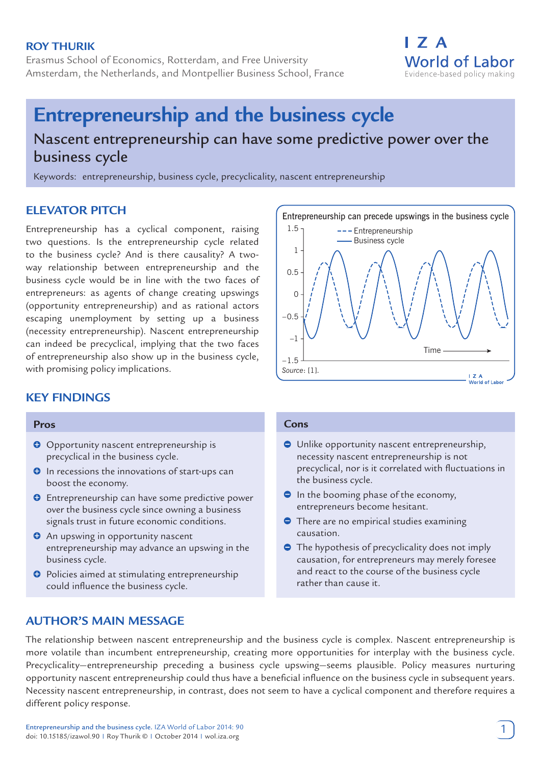## **Roy Thurik**

Erasmus School of Economics, Rotterdam, and Free University Amsterdam, the Netherlands, and Montpellier Business School, France

# **Entrepreneurship and the business cycle** Nascent entrepreneurship can have some predictive power over the business cycle

Keywords: entrepreneurship, business cycle, precyclicality, nascent entrepreneurship

# **ELEVATOR PITCH**

Entrepreneurship has a cyclical component, raising two questions. Is the entrepreneurship cycle related to the business cycle? And is there causality? A twoway relationship between entrepreneurship and the business cycle would be in line with the two faces of entrepreneurs: as agents of change creating upswings (opportunity entrepreneurship) and as rational actors escaping unemployment by setting up a business (necessity entrepreneurship). Nascent entrepreneurship can indeed be precyclical, implying that the two faces of entrepreneurship also show up in the business cycle, with promising policy implications.

# **KEY FINDINGS**

#### **Pros**

- **O** Opportunity nascent entrepreneurship is precyclical in the business cycle.
- $\Theta$  In recessions the innovations of start-ups can boost the economy.
- $\bullet$  Entrepreneurship can have some predictive power over the business cycle since owning a business signals trust in future economic conditions.
- **O** An upswing in opportunity nascent entrepreneurship may advance an upswing in the business cycle.
- $\Theta$  Policies aimed at stimulating entrepreneurship could influence the business cycle.

#### **Cons**

- Unlike opportunity nascent entrepreneurship, necessity nascent entrepreneurship is not precyclical, nor is it correlated with fluctuations in the business cycle.
- **In the booming phase of the economy,** entrepreneurs become hesitant.
- **•** There are no empirical studies examining causation.
- **●** The hypothesis of precyclicality does not imply causation, for entrepreneurs may merely foresee and react to the course of the business cycle rather than cause it.

# **AUTHOR'S MAIN MESSAGE**

The relationship between nascent entrepreneurship and the business cycle is complex. Nascent entrepreneurship is more volatile than incumbent entrepreneurship, creating more opportunities for interplay with the business cycle. Precyclicality—entrepreneurship preceding a business cycle upswing—seems plausible. Policy measures nurturing opportunity nascent entrepreneurship could thus have a beneficial influence on the business cycle in subsequent years. Necessity nascent entrepreneurship, in contrast, does not seem to have a cyclical component and therefore requires a different policy response.



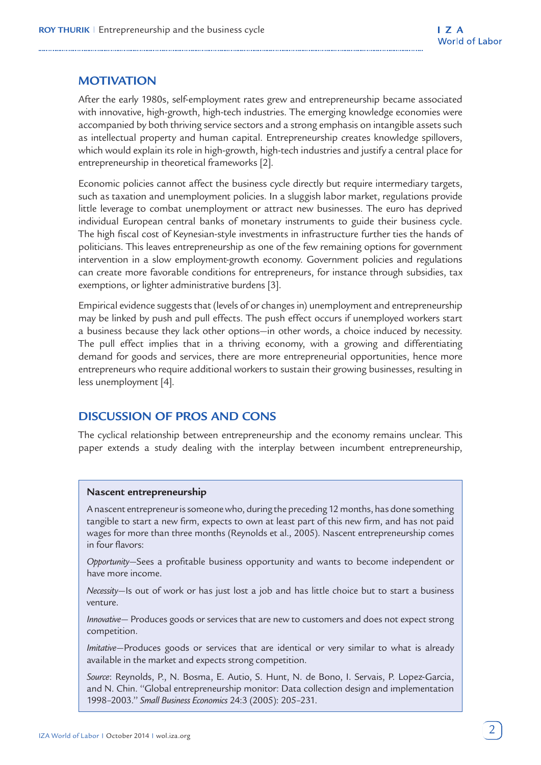# **MOTIVATION**

After the early 1980s, self-employment rates grew and entrepreneurship became associated with innovative, high-growth, high-tech industries. The emerging knowledge economies were accompanied by both thriving service sectors and a strong emphasis on intangible assets such as intellectual property and human capital. Entrepreneurship creates knowledge spillovers, which would explain its role in high-growth, high-tech industries and justify a central place for entrepreneurship in theoretical frameworks [2].

Economic policies cannot affect the business cycle directly but require intermediary targets, such as taxation and unemployment policies. In a sluggish labor market, regulations provide little leverage to combat unemployment or attract new businesses. The euro has deprived individual European central banks of monetary instruments to guide their business cycle. The high fiscal cost of Keynesian-style investments in infrastructure further ties the hands of politicians. This leaves entrepreneurship as one of the few remaining options for government intervention in a slow employment-growth economy. Government policies and regulations can create more favorable conditions for entrepreneurs, for instance through subsidies, tax exemptions, or lighter administrative burdens [3].

Empirical evidence suggests that (levels of or changes in) unemployment and entrepreneurship may be linked by push and pull effects. The push effect occurs if unemployed workers start a business because they lack other options—in other words, a choice induced by necessity. The pull effect implies that in a thriving economy, with a growing and differentiating demand for goods and services, there are more entrepreneurial opportunities, hence more entrepreneurs who require additional workers to sustain their growing businesses, resulting in less unemployment [4].

## **DISCUSSION OF PROS AND CONS**

The cyclical relationship between entrepreneurship and the economy remains unclear. This paper extends a study dealing with the interplay between incumbent entrepreneurship,

#### **Nascent entrepreneurship**

A nascent entrepreneur is someone who, during the preceding 12 months, has done something tangible to start a new firm, expects to own at least part of this new firm, and has not paid wages for more than three months (Reynolds et al., 2005). Nascent entrepreneurship comes in four flavors:

*Opportunity*—Sees a profitable business opportunity and wants to become independent or have more income.

*Necessity*—Is out of work or has just lost a job and has little choice but to start a business venture.

*Innovative*— Produces goods or services that are new to customers and does not expect strong competition.

*Imitative*—Produces goods or services that are identical or very similar to what is already available in the market and expects strong competition.

*Source*: Reynolds, P., N. Bosma, E. Autio, S. Hunt, N. de Bono, I. Servais, P. Lopez-Garcia, and N. Chin. ''Global entrepreneurship monitor: Data collection design and implementation 1998–2003.'' *Small Business Economics* 24:3 (2005): 205–231.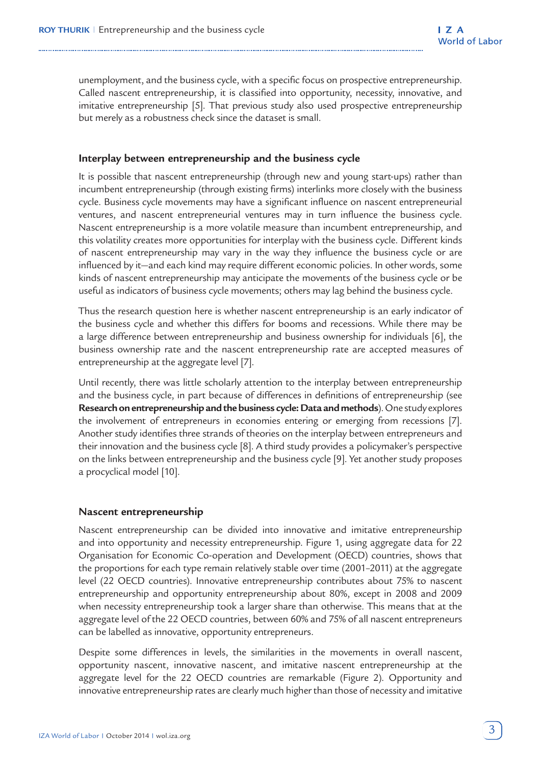unemployment, and the business cycle, with a specific focus on prospective entrepreneurship. Called nascent entrepreneurship, it is classified into opportunity, necessity, innovative, and imitative entrepreneurship [5]. That previous study also used prospective entrepreneurship but merely as a robustness check since the dataset is small.

#### **Interplay between entrepreneurship and the business cycle**

It is possible that nascent entrepreneurship (through new and young start-ups) rather than incumbent entrepreneurship (through existing firms) interlinks more closely with the business cycle. Business cycle movements may have a significant influence on nascent entrepreneurial ventures, and nascent entrepreneurial ventures may in turn influence the business cycle. Nascent entrepreneurship is a more volatile measure than incumbent entrepreneurship, and this volatility creates more opportunities for interplay with the business cycle. Different kinds of nascent entrepreneurship may vary in the way they influence the business cycle or are influenced by it—and each kind may require different economic policies. In other words, some kinds of nascent entrepreneurship may anticipate the movements of the business cycle or be useful as indicators of business cycle movements; others may lag behind the business cycle.

Thus the research question here is whether nascent entrepreneurship is an early indicator of the business cycle and whether this differs for booms and recessions. While there may be a large difference between entrepreneurship and business ownership for individuals [6], the business ownership rate and the nascent entrepreneurship rate are accepted measures of entrepreneurship at the aggregate level [7].

Until recently, there was little scholarly attention to the interplay between entrepreneurship and the business cycle, in part because of differences in definitions of entrepreneurship (see **Research on entrepreneurship and the business cycle: Data and methods**). One study explores the involvement of entrepreneurs in economies entering or emerging from recessions [7]. Another study identifies three strands of theories on the interplay between entrepreneurs and their innovation and the business cycle [8]. A third study provides a policymaker's perspective on the links between entrepreneurship and the business cycle [9]. Yet another study proposes a procyclical model [10].

#### **Nascent entrepreneurship**

Nascent entrepreneurship can be divided into innovative and imitative entrepreneurship and into opportunity and necessity entrepreneurship. Figure 1, using aggregate data for 22 Organisation for Economic Co-operation and Development (OECD) countries, shows that the proportions for each type remain relatively stable over time (2001–2011) at the aggregate level (22 OECD countries). Innovative entrepreneurship contributes about 75% to nascent entrepreneurship and opportunity entrepreneurship about 80%, except in 2008 and 2009 when necessity entrepreneurship took a larger share than otherwise. This means that at the aggregate level of the 22 OECD countries, between 60% and 75% of all nascent entrepreneurs can be labelled as innovative, opportunity entrepreneurs.

Despite some differences in levels, the similarities in the movements in overall nascent, opportunity nascent, innovative nascent, and imitative nascent entrepreneurship at the aggregate level for the 22 OECD countries are remarkable (Figure 2). Opportunity and innovative entrepreneurship rates are clearly much higher than those of necessity and imitative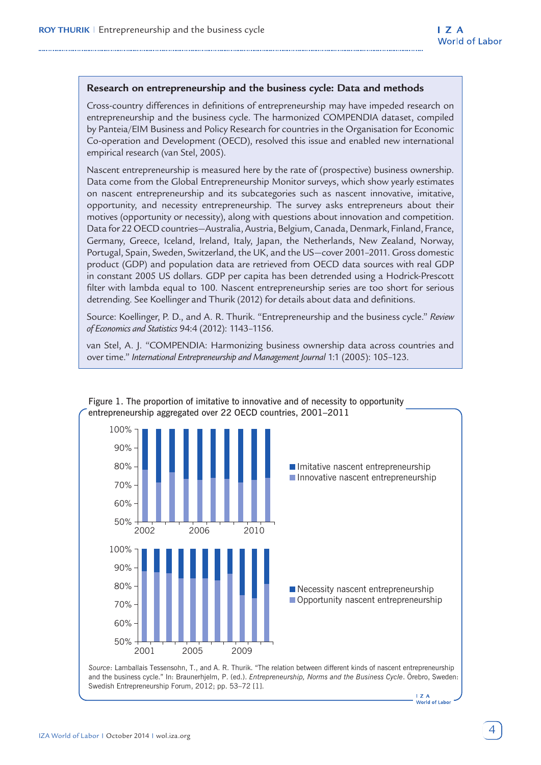#### **Research on entrepreneurship and the business cycle: Data and methods**

Cross-country differences in definitions of entrepreneurship may have impeded research on entrepreneurship and the business cycle. The harmonized COMPENDIA dataset, compiled by Panteia/EIM Business and Policy Research for countries in the Organisation for Economic Co-operation and Development (OECD), resolved this issue and enabled new international empirical research (van Stel, 2005).

Nascent entrepreneurship is measured here by the rate of (prospective) business ownership. Data come from the Global Entrepreneurship Monitor surveys, which show yearly estimates on nascent entrepreneurship and its subcategories such as nascent innovative, imitative, opportunity, and necessity entrepreneurship. The survey asks entrepreneurs about their motives (opportunity or necessity), along with questions about innovation and competition. Data for 22 OECD countries—Australia, Austria, Belgium, Canada, Denmark, Finland, France, Germany, Greece, Iceland, Ireland, Italy, Japan, the Netherlands, New Zealand, Norway, Portugal, Spain, Sweden, Switzerland, the UK, and the US—cover 2001–2011. Gross domestic product (GDP) and population data are retrieved from OECD data sources with real GDP in constant 2005 US dollars. GDP per capita has been detrended using a Hodrick-Prescott filter with lambda equal to 100. Nascent entrepreneurship series are too short for serious detrending. See Koellinger and Thurik (2012) for details about data and definitions.

Source: Koellinger, P. D., and A. R. Thurik. "Entrepreneurship and the business cycle." *Review of Economics and Statistics* 94:4 (2012): 1143–1156.

van Stel, A. J. "COMPENDIA: Harmonizing business ownership data across countries and over time." *International Entrepreneurship and Management Journal* 1:1 (2005): 105–123.



**I Z A**<br>World of Labor

#### Figure 1. The proportion of imitative to innovative and of necessity to opportunity entrepreneurship aggregated over 22 OECD countries, 2001–2011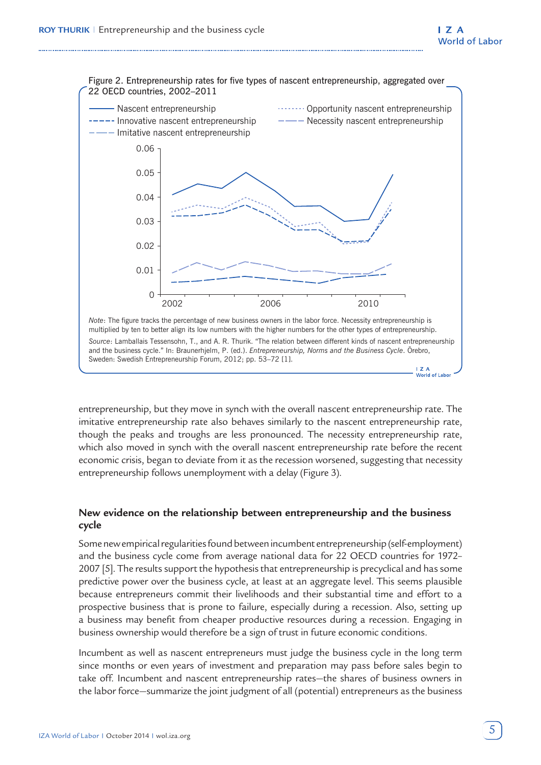

entrepreneurship, but they move in synch with the overall nascent entrepreneurship rate. The imitative entrepreneurship rate also behaves similarly to the nascent entrepreneurship rate, though the peaks and troughs are less pronounced. The necessity entrepreneurship rate, which also moved in synch with the overall nascent entrepreneurship rate before the recent economic crisis, began to deviate from it as the recession worsened, suggesting that necessity entrepreneurship follows unemployment with a delay (Figure 3).

### **New evidence on the relationship between entrepreneurship and the business cycle**

Some new empirical regularities found between incumbent entrepreneurship (self-employment) and the business cycle come from average national data for 22 OECD countries for 1972– 2007 [5]. The results support the hypothesis that entrepreneurship is precyclical and has some predictive power over the business cycle, at least at an aggregate level. This seems plausible because entrepreneurs commit their livelihoods and their substantial time and effort to a prospective business that is prone to failure, especially during a recession. Also, setting up a business may benefit from cheaper productive resources during a recession. Engaging in business ownership would therefore be a sign of trust in future economic conditions.

Incumbent as well as nascent entrepreneurs must judge the business cycle in the long term since months or even years of investment and preparation may pass before sales begin to take off. Incumbent and nascent entrepreneurship rates—the shares of business owners in the labor force—summarize the joint judgment of all (potential) entrepreneurs as the business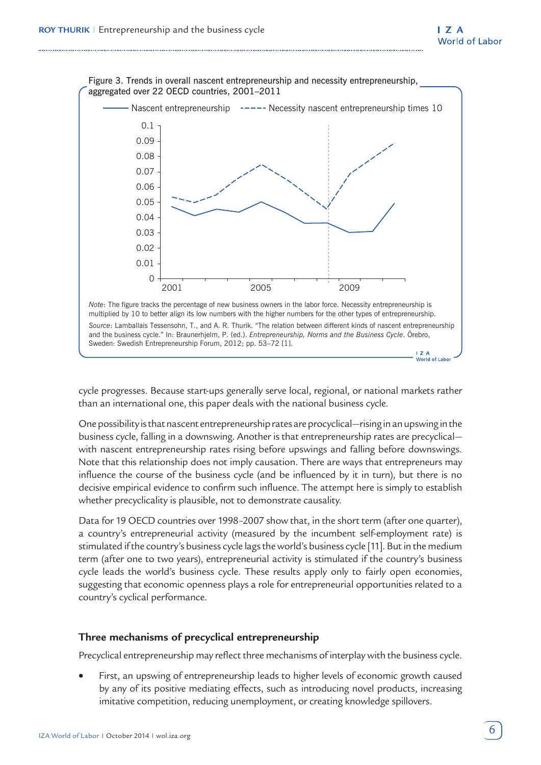

cycle progresses. Because start-ups generally serve local, regional, or national markets rather than an international one, this paper deals with the national business cycle.

One possibility is that nascent entrepreneurship rates are procyclical—rising in an upswing in the business cycle, falling in a downswing. Another is that entrepreneurship rates are precyclical with nascent entrepreneurship rates rising before upswings and falling before downswings. Note that this relationship does not imply causation. There are ways that entrepreneurs may influence the course of the business cycle (and be influenced by it in turn), but there is no decisive empirical evidence to confirm such influence. The attempt here is simply to establish whether precyclicality is plausible, not to demonstrate causality.

Data for 19 OECD countries over 1998-2007 show that, in the short term (after one quarter), a country's entrepreneurial activity (measured by the incumbent self-employment rate) is stimulated if the country's business cycle lags the world's business cycle [11]. But in the medium term (after one to two years), entrepreneurial activity is stimulated if the country's business cycle leads the world's business cycle. These results apply only to fairly open economies, suggesting that economic openness plays a role for entrepreneurial opportunities related to a country's cyclical performance.

## **Three mechanisms of precyclical entrepreneurship**

Precyclical entrepreneurship may reflect three mechanisms of interplay with the business cycle.

• First, an upswing of entrepreneurship leads to higher levels of economic growth caused by any of its positive mediating effects, such as introducing novel products, increasing imitative competition, reducing unemployment, or creating knowledge spillovers.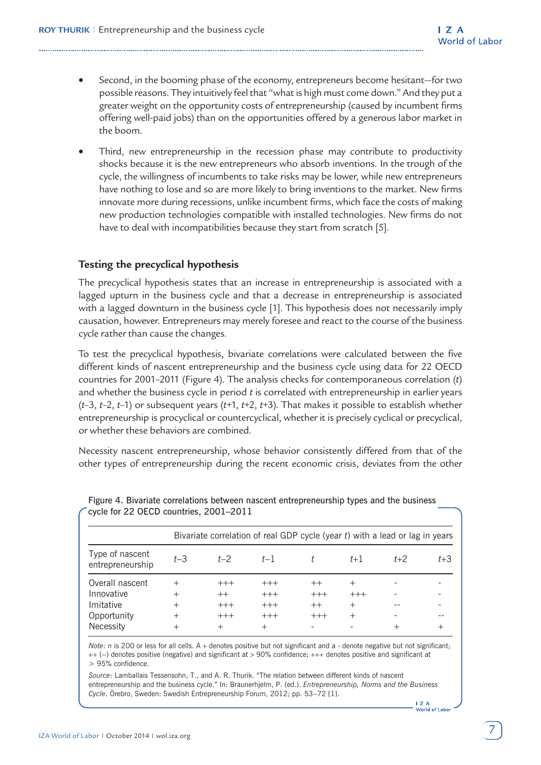- Second, in the booming phase of the economy, entrepreneurs become hesitant—for two possible reasons. They intuitively feel that "what is high must come down." And they put a greater weight on the opportunity costs of entrepreneurship (caused by incumbent firms offering well-paid jobs) than on the opportunities offered by a generous labor market in the boom.
- Third, new entrepreneurship in the recession phase may contribute to productivity shocks because it is the new entrepreneurs who absorb inventions. In the trough of the cycle, the willingness of incumbents to take risks may be lower, while new entrepreneurs have nothing to lose and so are more likely to bring inventions to the market. New firms innovate more during recessions, unlike incumbent firms, which face the costs of making new production technologies compatible with installed technologies. New firms do not have to deal with incompatibilities because they start from scratch [5].

## **Testing the precyclical hypothesis**

The precyclical hypothesis states that an increase in entrepreneurship is associated with a lagged upturn in the business cycle and that a decrease in entrepreneurship is associated with a lagged downturn in the business cycle [1]. This hypothesis does not necessarily imply causation, however. Entrepreneurs may merely foresee and react to the course of the business cycle rather than cause the changes.

To test the precyclical hypothesis, bivariate correlations were calculated between the five different kinds of nascent entrepreneurship and the business cycle using data for 22 OECD countries for 2001–2011 (Figure 4). The analysis checks for contemporaneous correlation (*t*) and whether the business cycle in period *t* is correlated with entrepreneurship in earlier years (*t*–3, *t*–2, *t*–1) or subsequent years (*t*+1, *t*+2, *t*+3). That makes it possible to establish whether entrepreneurship is procyclical or countercyclical, whether it is precisely cyclical or precyclical, or whether these behaviors are combined.

Necessity nascent entrepreneurship, whose behavior consistently differed from that of the other types of entrepreneurship during the recent economic crisis, deviates from the other

|                                     |        |         | Bivariate correlation of real GDP cycle (year t) with a lead or lag in years |         |        |       |         |
|-------------------------------------|--------|---------|------------------------------------------------------------------------------|---------|--------|-------|---------|
| Type of nascent<br>entrepreneurship | $t-3$  | $t - 2$ | $t-1$                                                                        |         | $t+1$  | $t+2$ | $t + 3$ |
| Overall nascent                     | $^{+}$ | $+++$   | $+++$                                                                        | $^{++}$ | $^{+}$ |       |         |
| Innovative                          | $^{+}$ | $^{++}$ | $+++$                                                                        | $+++$   | $+++$  |       |         |
| Imitative                           | $^{+}$ | $+++$   | $+++$                                                                        | $++$    | $^{+}$ |       |         |
| Opportunity                         | $^{+}$ | $+++$   | $+++$                                                                        | $+++$   | $^{+}$ |       |         |
| Necessity                           | $^+$   | $\, +$  | $^+$                                                                         |         |        | ┿     |         |

Figure 4. Bivariate correlations between nascent entrepreneurship types and the business cycle for 22 OECD countries, 2001–2011

*Note*: *n* is 200 or less for all cells. A + denotes positive but not significant and a - denote negative but not significant; ++ (--) denotes positive (negative) and significant at > 90% confidence; +++ denotes positive and significant at > 95% confidence.

*Source*: Lamballais Tessensohn, T., and A. R. Thurik. "The relation between different kinds of nascent entrepreneurship and the business cycle." In: Braunerhjelm, P. (ed.). *Entrepreneurship, Norms and the Business Cycle*. Örebro, Sweden: Swedish Entrepreneurship Forum, 2012; pp. 53–72 [1].

I Z A<br>World of Labor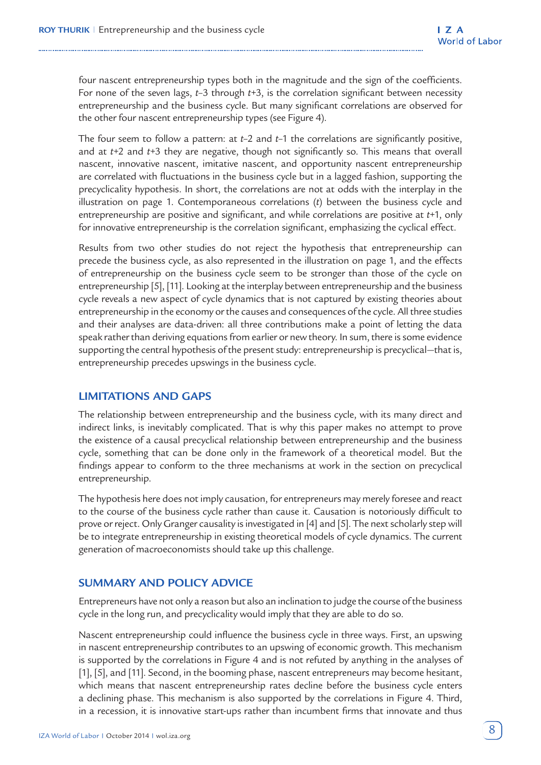four nascent entrepreneurship types both in the magnitude and the sign of the coefficients. For none of the seven lags, *t*–3 through *t*+3, is the correlation significant between necessity entrepreneurship and the business cycle. But many significant correlations are observed for the other four nascent entrepreneurship types (see Figure 4).

The four seem to follow a pattern: at *t*–2 and *t*–1 the correlations are significantly positive, and at *t*+2 and *t*+3 they are negative, though not significantly so. This means that overall nascent, innovative nascent, imitative nascent, and opportunity nascent entrepreneurship are correlated with fluctuations in the business cycle but in a lagged fashion, supporting the precyclicality hypothesis. In short, the correlations are not at odds with the interplay in the illustration on page 1. Contemporaneous correlations (*t*) between the business cycle and entrepreneurship are positive and significant, and while correlations are positive at *t*+1, only for innovative entrepreneurship is the correlation significant, emphasizing the cyclical effect.

Results from two other studies do not reject the hypothesis that entrepreneurship can precede the business cycle, as also represented in the illustration on page 1, and the effects of entrepreneurship on the business cycle seem to be stronger than those of the cycle on entrepreneurship [5], [11]. Looking at the interplay between entrepreneurship and the business cycle reveals a new aspect of cycle dynamics that is not captured by existing theories about entrepreneurship in the economy or the causes and consequences of the cycle. All three studies and their analyses are data-driven: all three contributions make a point of letting the data speak rather than deriving equations from earlier or new theory. In sum, there is some evidence supporting the central hypothesis of the present study: entrepreneurship is precyclical—that is, entrepreneurship precedes upswings in the business cycle.

## **LIMITATIONS AND GAPS**

The relationship between entrepreneurship and the business cycle, with its many direct and indirect links, is inevitably complicated. That is why this paper makes no attempt to prove the existence of a causal precyclical relationship between entrepreneurship and the business cycle, something that can be done only in the framework of a theoretical model. But the findings appear to conform to the three mechanisms at work in the section on precyclical entrepreneurship.

The hypothesis here does not imply causation, for entrepreneurs may merely foresee and react to the course of the business cycle rather than cause it. Causation is notoriously difficult to prove or reject. Only Granger causality is investigated in [4] and [5]. The next scholarly step will be to integrate entrepreneurship in existing theoretical models of cycle dynamics. The current generation of macroeconomists should take up this challenge.

# **SUMMARY AND POLICY ADVICE**

Entrepreneurs have not only a reason but also an inclination to judge the course of the business cycle in the long run, and precyclicality would imply that they are able to do so.

Nascent entrepreneurship could influence the business cycle in three ways. First, an upswing in nascent entrepreneurship contributes to an upswing of economic growth. This mechanism is supported by the correlations in Figure 4 and is not refuted by anything in the analyses of [1], [5], and [11]. Second, in the booming phase, nascent entrepreneurs may become hesitant, which means that nascent entrepreneurship rates decline before the business cycle enters a declining phase. This mechanism is also supported by the correlations in Figure 4. Third, in a recession, it is innovative start-ups rather than incumbent firms that innovate and thus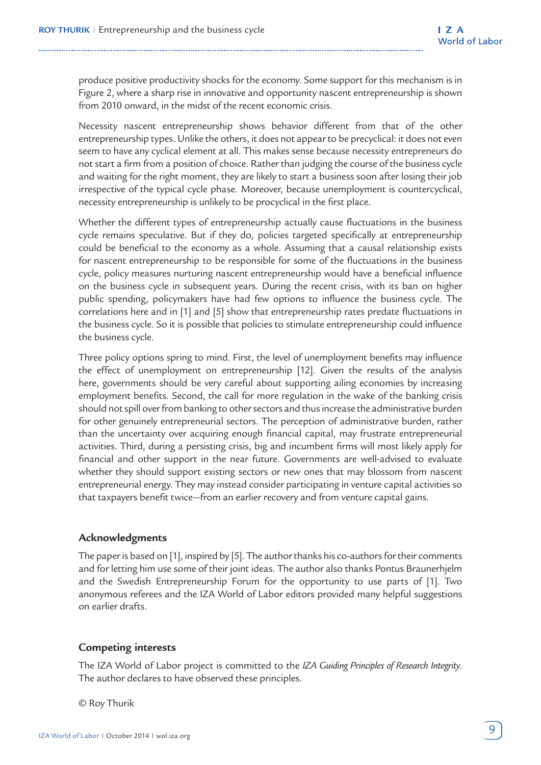produce positive productivity shocks for the economy. Some support for this mechanism is in Figure 2, where a sharp rise in innovative and opportunity nascent entrepreneurship is shown from 2010 onward, in the midst of the recent economic crisis.

Necessity nascent entrepreneurship shows behavior different from that of the other entrepreneurship types. Unlike the others, it does not appear to be precyclical: it does not even seem to have any cyclical element at all. This makes sense because necessity entrepreneurs do not start a firm from a position of choice. Rather than judging the course of the business cycle and waiting for the right moment, they are likely to start a business soon after losing their job irrespective of the typical cycle phase. Moreover, because unemployment is countercyclical, necessity entrepreneurship is unlikely to be procyclical in the first place.

Whether the different types of entrepreneurship actually cause fluctuations in the business cycle remains speculative. But if they do, policies targeted specifically at entrepreneurship could be beneficial to the economy as a whole. Assuming that a causal relationship exists for nascent entrepreneurship to be responsible for some of the fluctuations in the business cycle, policy measures nurturing nascent entrepreneurship would have a beneficial influence on the business cycle in subsequent years. During the recent crisis, with its ban on higher public spending, policymakers have had few options to influence the business cycle. The correlations here and in [1] and [5] show that entrepreneurship rates predate fluctuations in the business cycle. So it is possible that policies to stimulate entrepreneurship could influence the business cycle.

Three policy options spring to mind. First, the level of unemployment benefits may influence the effect of unemployment on entrepreneurship [12]. Given the results of the analysis here, governments should be very careful about supporting ailing economies by increasing employment benefits. Second, the call for more regulation in the wake of the banking crisis should not spill over from banking to other sectors and thus increase the administrative burden for other genuinely entrepreneurial sectors. The perception of administrative burden, rather than the uncertainty over acquiring enough financial capital, may frustrate entrepreneurial activities. Third, during a persisting crisis, big and incumbent firms will most likely apply for financial and other support in the near future. Governments are well-advised to evaluate whether they should support existing sectors or new ones that may blossom from nascent entrepreneurial energy. They may instead consider participating in venture capital activities so that taxpayers benefit twice—from an earlier recovery and from venture capital gains.

#### **Acknowledgments**

The paper is based on [1], inspired by [5]. The author thanks his co-authors for their comments and for letting him use some of their joint ideas. The author also thanks Pontus Braunerhjelm and the Swedish Entrepreneurship Forum for the opportunity to use parts of [1]. Two anonymous referees and the IZA World of Labor editors provided many helpful suggestions on earlier drafts.

## **Competing interests**

The IZA World of Labor project is committed to the *IZA Guiding Principles of Research Integrity*. The author declares to have observed these principles.

© Roy Thurik